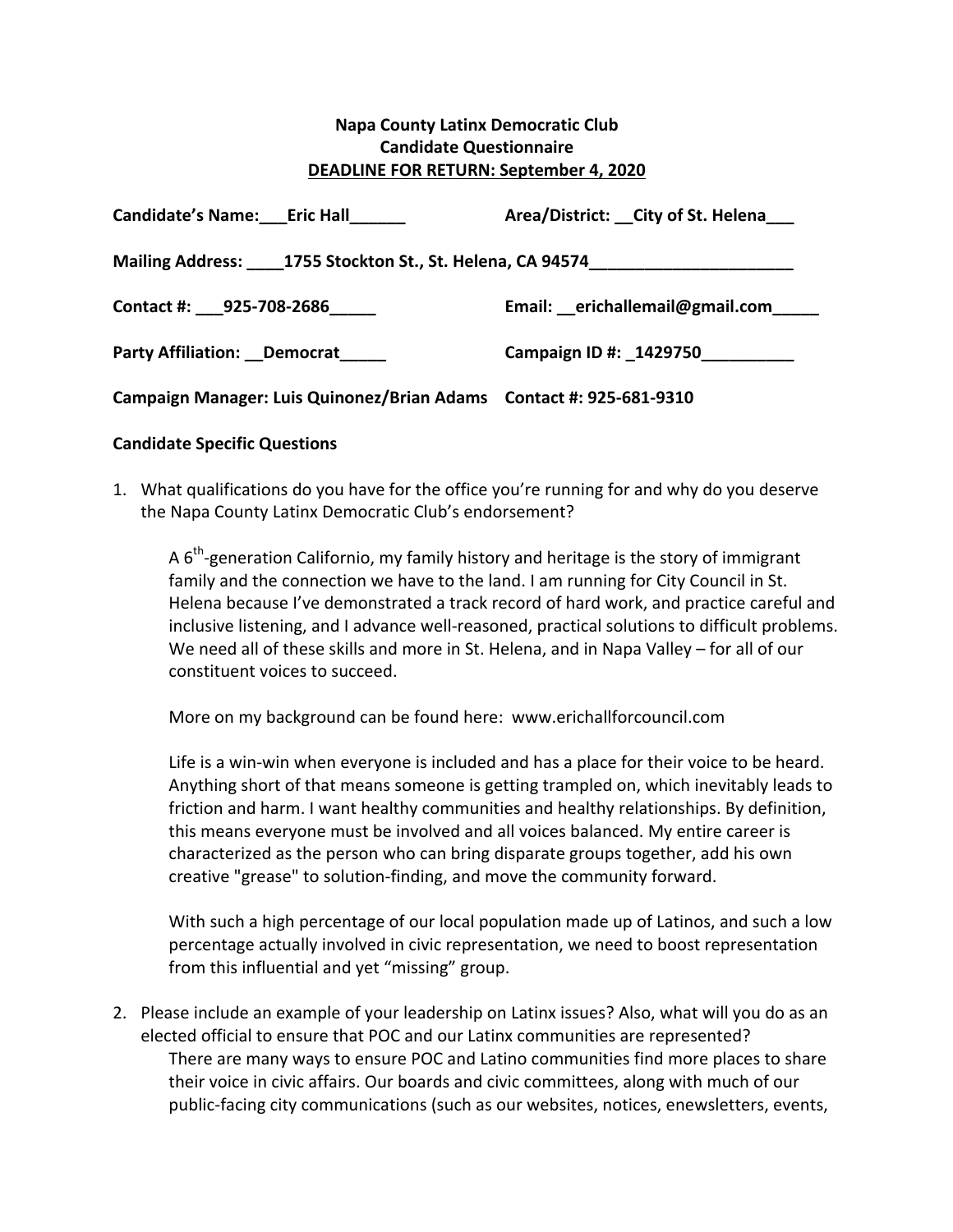## **Napa County Latinx Democratic Club Candidate Questionnaire DEADLINE FOR RETURN: September 4, 2020**

| <b>Candidate's Name: Eric Hall</b>                                  | Area/District: __ City of St. Helena___ |
|---------------------------------------------------------------------|-----------------------------------------|
| Mailing Address: 1755 Stockton St., St. Helena, CA 94574            |                                         |
| Contact #: 925-708-2686                                             | Email: erichallemail@gmail.com          |
| Party Affiliation: Democrat                                         | Campaign ID #: _1429750___________      |
| Campaign Manager: Luis Quinonez/Brian Adams Contact #: 925-681-9310 |                                         |

## **Candidate Specific Questions**

1. What qualifications do you have for the office you're running for and why do you deserve the Napa County Latinx Democratic Club's endorsement?

A  $6<sup>th</sup>$ -generation Californio, my family history and heritage is the story of immigrant family and the connection we have to the land. I am running for City Council in St. Helena because I've demonstrated a track record of hard work, and practice careful and inclusive listening, and I advance well-reasoned, practical solutions to difficult problems. We need all of these skills and more in St. Helena, and in Napa Valley – for all of our constituent voices to succeed.

More on my background can be found here: www.erichallforcouncil.com

Life is a win-win when everyone is included and has a place for their voice to be heard. Anything short of that means someone is getting trampled on, which inevitably leads to friction and harm. I want healthy communities and healthy relationships. By definition, this means everyone must be involved and all voices balanced. My entire career is characterized as the person who can bring disparate groups together, add his own creative "grease" to solution-finding, and move the community forward.

With such a high percentage of our local population made up of Latinos, and such a low percentage actually involved in civic representation, we need to boost representation from this influential and yet "missing" group.

2. Please include an example of your leadership on Latinx issues? Also, what will you do as an elected official to ensure that POC and our Latinx communities are represented? There are many ways to ensure POC and Latino communities find more places to share their voice in civic affairs. Our boards and civic committees, along with much of our public-facing city communications (such as our websites, notices, enewsletters, events,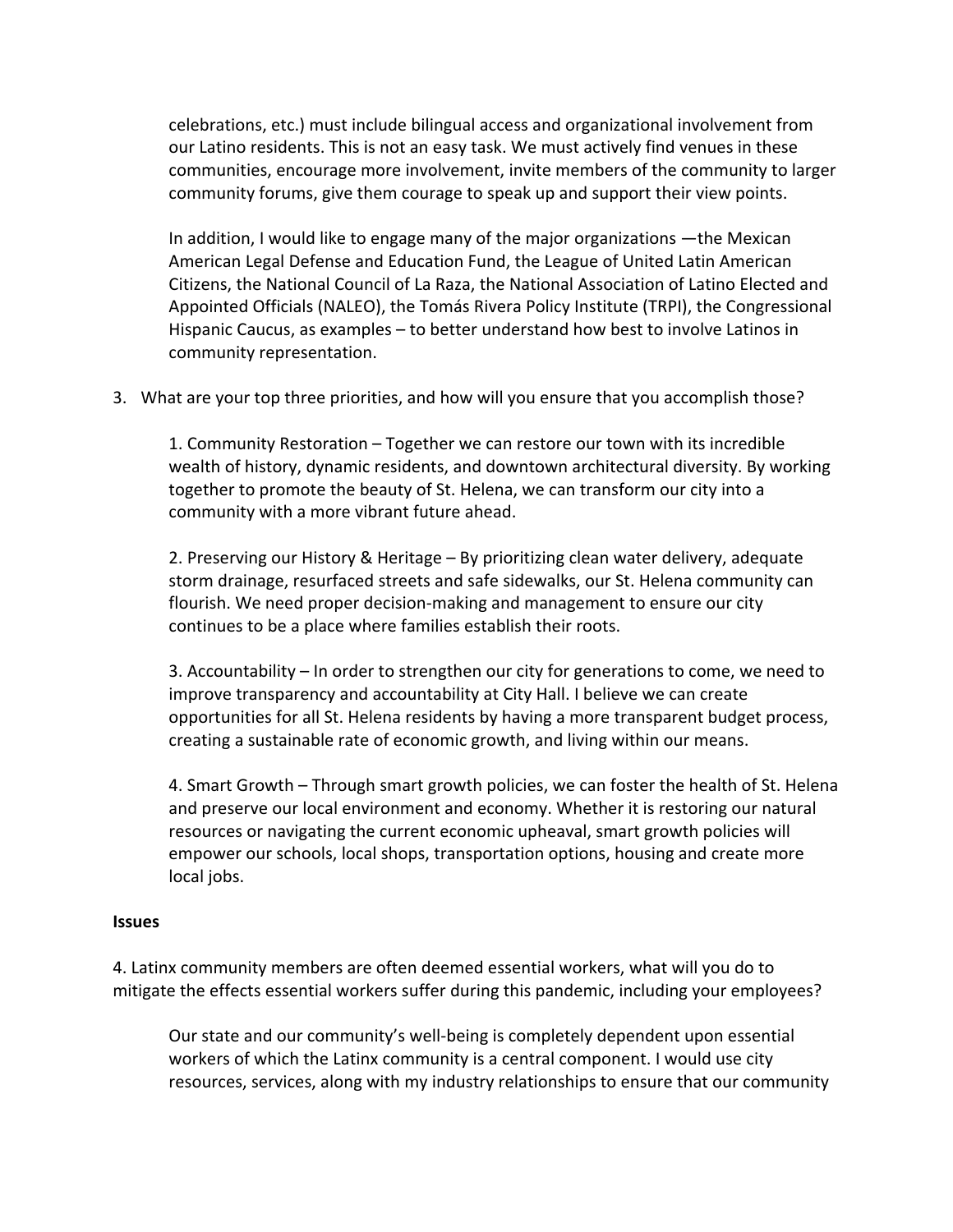celebrations, etc.) must include bilingual access and organizational involvement from our Latino residents. This is not an easy task. We must actively find venues in these communities, encourage more involvement, invite members of the community to larger community forums, give them courage to speak up and support their view points.

In addition, I would like to engage many of the major organizations —the Mexican American Legal Defense and Education Fund, the League of United Latin American Citizens, the National Council of La Raza, the National Association of Latino Elected and Appointed Officials (NALEO), the Tomás Rivera Policy Institute (TRPI), the Congressional Hispanic Caucus, as examples  $-$  to better understand how best to involve Latinos in community representation.

3. What are your top three priorities, and how will you ensure that you accomplish those?

1. Community Restoration – Together we can restore our town with its incredible wealth of history, dynamic residents, and downtown architectural diversity. By working together to promote the beauty of St. Helena, we can transform our city into a community with a more vibrant future ahead.

2. Preserving our History & Heritage – By prioritizing clean water delivery, adequate storm drainage, resurfaced streets and safe sidewalks, our St. Helena community can flourish. We need proper decision-making and management to ensure our city continues to be a place where families establish their roots.

3. Accountability – In order to strengthen our city for generations to come, we need to improve transparency and accountability at City Hall. I believe we can create opportunities for all St. Helena residents by having a more transparent budget process, creating a sustainable rate of economic growth, and living within our means.

4. Smart Growth – Through smart growth policies, we can foster the health of St. Helena and preserve our local environment and economy. Whether it is restoring our natural resources or navigating the current economic upheaval, smart growth policies will empower our schools, local shops, transportation options, housing and create more local jobs.

## **Issues**

4. Latinx community members are often deemed essential workers, what will you do to mitigate the effects essential workers suffer during this pandemic, including your employees?

Our state and our community's well-being is completely dependent upon essential workers of which the Latinx community is a central component. I would use city resources, services, along with my industry relationships to ensure that our community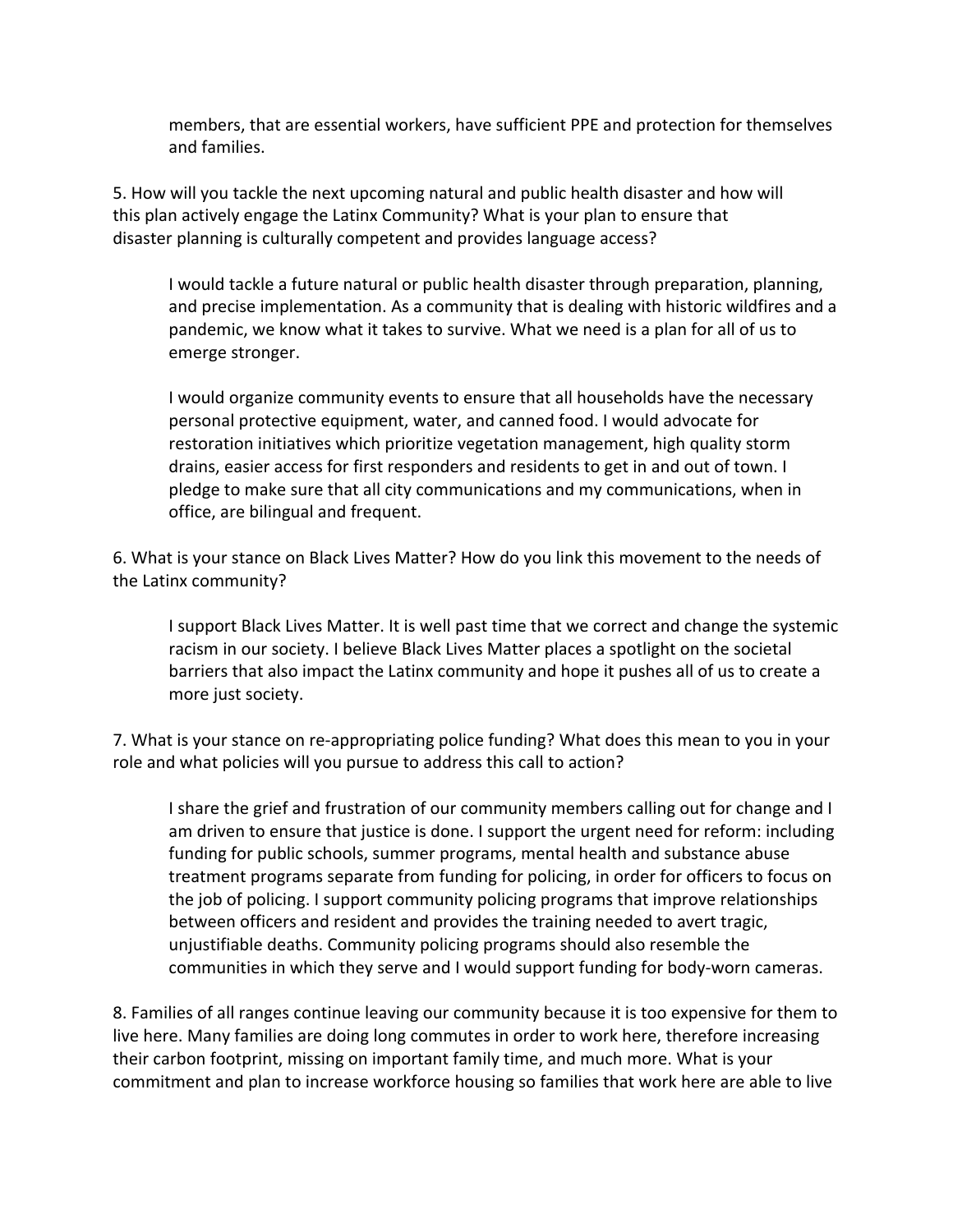members, that are essential workers, have sufficient PPE and protection for themselves and families.

5. How will you tackle the next upcoming natural and public health disaster and how will this plan actively engage the Latinx Community? What is your plan to ensure that disaster planning is culturally competent and provides language access?

I would tackle a future natural or public health disaster through preparation, planning, and precise implementation. As a community that is dealing with historic wildfires and a pandemic, we know what it takes to survive. What we need is a plan for all of us to emerge stronger.

I would organize community events to ensure that all households have the necessary personal protective equipment, water, and canned food. I would advocate for restoration initiatives which prioritize vegetation management, high quality storm drains, easier access for first responders and residents to get in and out of town. I pledge to make sure that all city communications and my communications, when in office, are bilingual and frequent.

6. What is your stance on Black Lives Matter? How do you link this movement to the needs of the Latinx community?

I support Black Lives Matter. It is well past time that we correct and change the systemic racism in our society. I believe Black Lives Matter places a spotlight on the societal barriers that also impact the Latinx community and hope it pushes all of us to create a more just society.

7. What is your stance on re-appropriating police funding? What does this mean to you in your role and what policies will you pursue to address this call to action?

I share the grief and frustration of our community members calling out for change and I am driven to ensure that justice is done. I support the urgent need for reform: including funding for public schools, summer programs, mental health and substance abuse treatment programs separate from funding for policing, in order for officers to focus on the job of policing. I support community policing programs that improve relationships between officers and resident and provides the training needed to avert tragic, unjustifiable deaths. Community policing programs should also resemble the communities in which they serve and I would support funding for body-worn cameras.

8. Families of all ranges continue leaving our community because it is too expensive for them to live here. Many families are doing long commutes in order to work here, therefore increasing their carbon footprint, missing on important family time, and much more. What is your commitment and plan to increase workforce housing so families that work here are able to live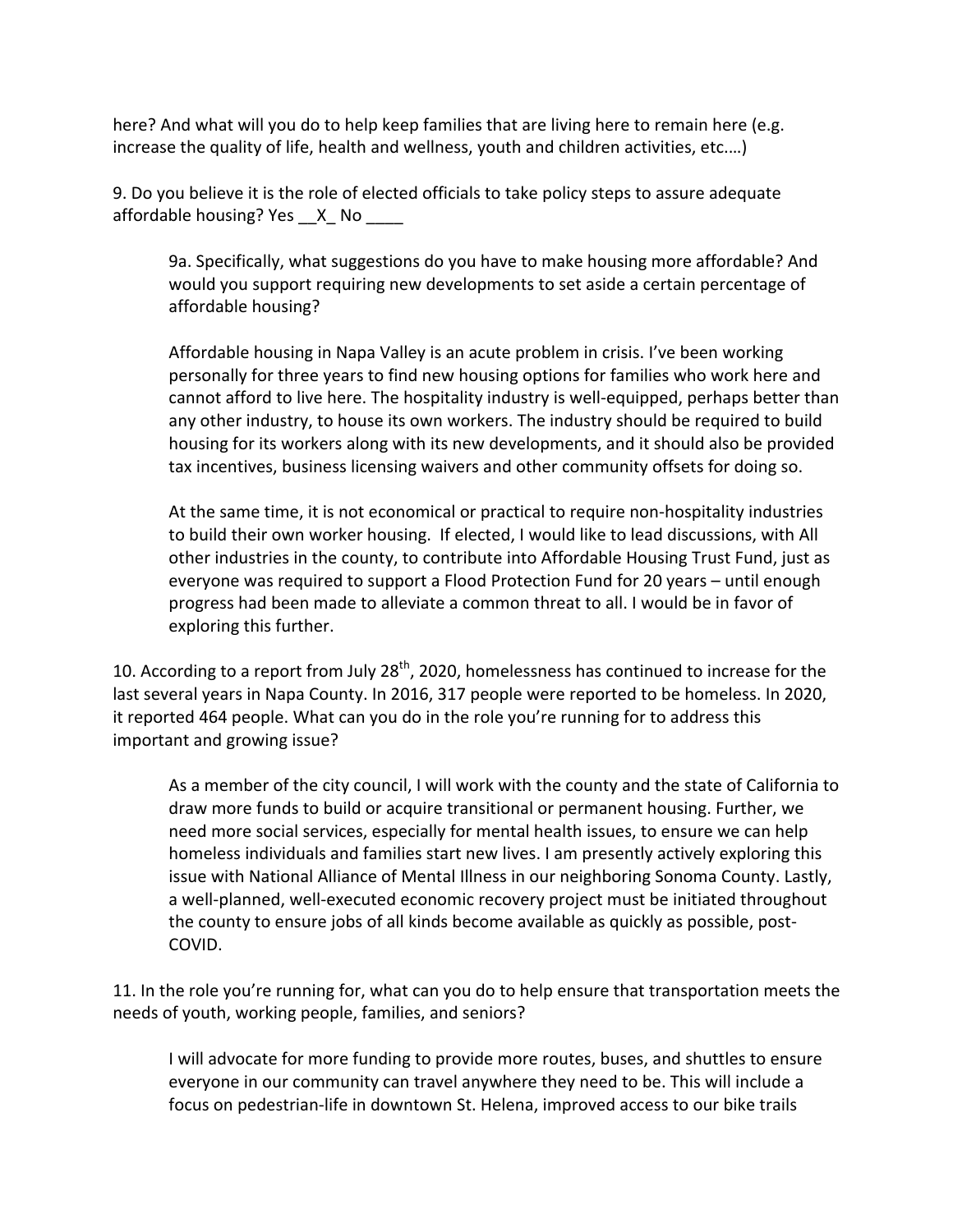here? And what will you do to help keep families that are living here to remain here (e.g. increase the quality of life, health and wellness, youth and children activities, etc....)

9. Do you believe it is the role of elected officials to take policy steps to assure adequate affordable housing?  $Yes$   $X$  No

9a. Specifically, what suggestions do you have to make housing more affordable? And would you support requiring new developments to set aside a certain percentage of affordable housing?

Affordable housing in Napa Valley is an acute problem in crisis. I've been working personally for three years to find new housing options for families who work here and cannot afford to live here. The hospitality industry is well-equipped, perhaps better than any other industry, to house its own workers. The industry should be required to build housing for its workers along with its new developments, and it should also be provided tax incentives, business licensing waivers and other community offsets for doing so.

At the same time, it is not economical or practical to require non-hospitality industries to build their own worker housing. If elected, I would like to lead discussions, with All other industries in the county, to contribute into Affordable Housing Trust Fund, just as everyone was required to support a Flood Protection Fund for 20 years - until enough progress had been made to alleviate a common threat to all. I would be in favor of exploring this further.

10. According to a report from July 28<sup>th</sup>, 2020, homelessness has continued to increase for the last several years in Napa County. In 2016, 317 people were reported to be homeless. In 2020, it reported 464 people. What can you do in the role you're running for to address this important and growing issue?

As a member of the city council, I will work with the county and the state of California to draw more funds to build or acquire transitional or permanent housing. Further, we need more social services, especially for mental health issues, to ensure we can help homeless individuals and families start new lives. I am presently actively exploring this issue with National Alliance of Mental Illness in our neighboring Sonoma County. Lastly, a well-planned, well-executed economic recovery project must be initiated throughout the county to ensure jobs of all kinds become available as quickly as possible, post-COVID.

11. In the role you're running for, what can you do to help ensure that transportation meets the needs of youth, working people, families, and seniors?

I will advocate for more funding to provide more routes, buses, and shuttles to ensure everyone in our community can travel anywhere they need to be. This will include a focus on pedestrian-life in downtown St. Helena, improved access to our bike trails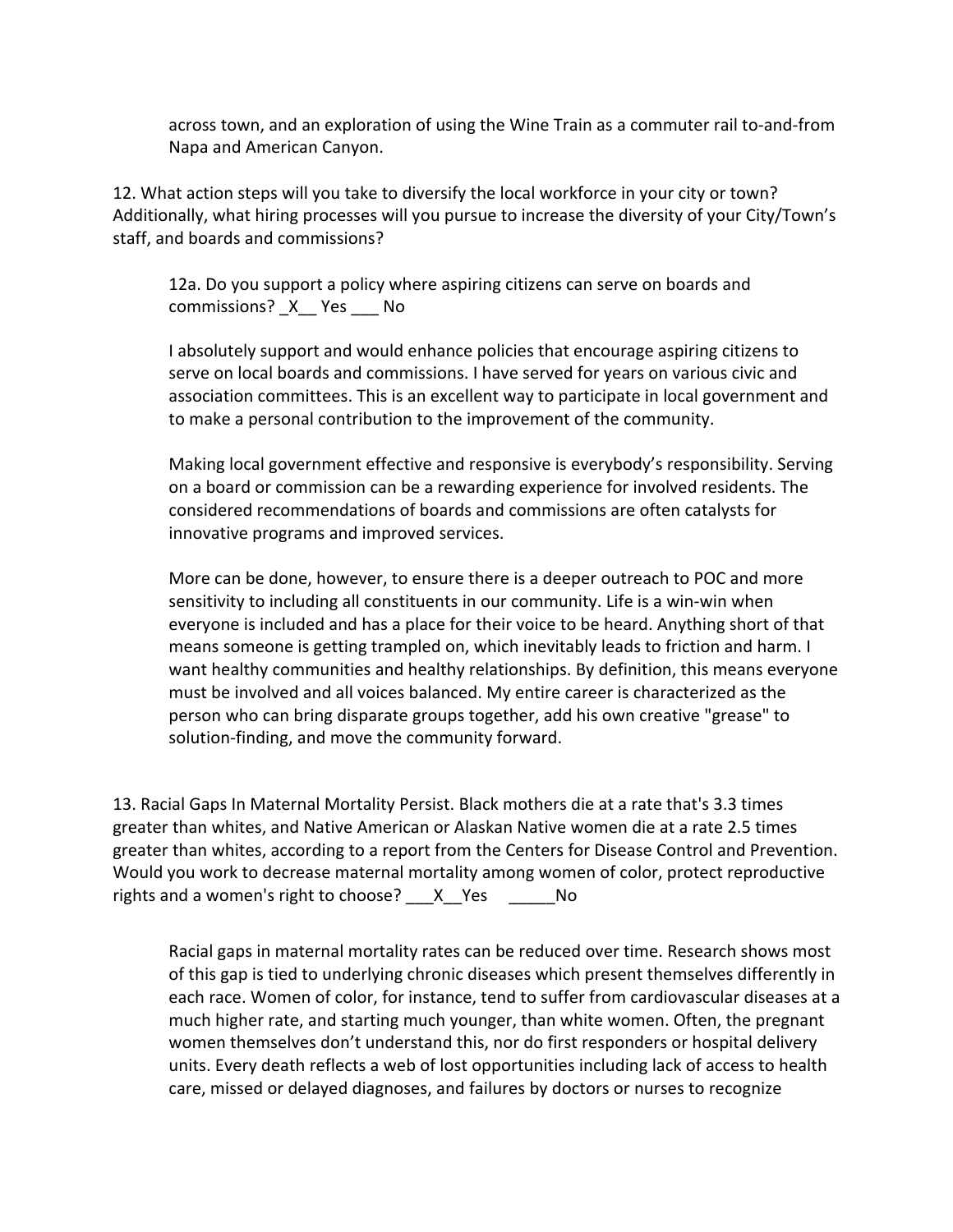across town, and an exploration of using the Wine Train as a commuter rail to-and-from Napa and American Canyon.

12. What action steps will you take to diversify the local workforce in your city or town? Additionally, what hiring processes will you pursue to increase the diversity of your City/Town's staff, and boards and commissions?

12a. Do you support a policy where aspiring citizens can serve on boards and commissions? X Yes No

I absolutely support and would enhance policies that encourage aspiring citizens to serve on local boards and commissions. I have served for years on various civic and association committees. This is an excellent way to participate in local government and to make a personal contribution to the improvement of the community.

Making local government effective and responsive is everybody's responsibility. Serving on a board or commission can be a rewarding experience for involved residents. The considered recommendations of boards and commissions are often catalysts for innovative programs and improved services.

More can be done, however, to ensure there is a deeper outreach to POC and more sensitivity to including all constituents in our community. Life is a win-win when everyone is included and has a place for their voice to be heard. Anything short of that means someone is getting trampled on, which inevitably leads to friction and harm. I want healthy communities and healthy relationships. By definition, this means everyone must be involved and all voices balanced. My entire career is characterized as the person who can bring disparate groups together, add his own creative "grease" to solution-finding, and move the community forward.

13. Racial Gaps In Maternal Mortality Persist. Black mothers die at a rate that's 3.3 times greater than whites, and Native American or Alaskan Native women die at a rate 2.5 times greater than whites, according to a report from the Centers for Disease Control and Prevention. Would you work to decrease maternal mortality among women of color, protect reproductive rights and a women's right to choose?  $X$  Yes  $N$  No

Racial gaps in maternal mortality rates can be reduced over time. Research shows most of this gap is tied to underlying chronic diseases which present themselves differently in each race. Women of color, for instance, tend to suffer from cardiovascular diseases at a much higher rate, and starting much younger, than white women. Often, the pregnant women themselves don't understand this, nor do first responders or hospital delivery units. Every death reflects a web of lost opportunities including lack of access to health care, missed or delayed diagnoses, and failures by doctors or nurses to recognize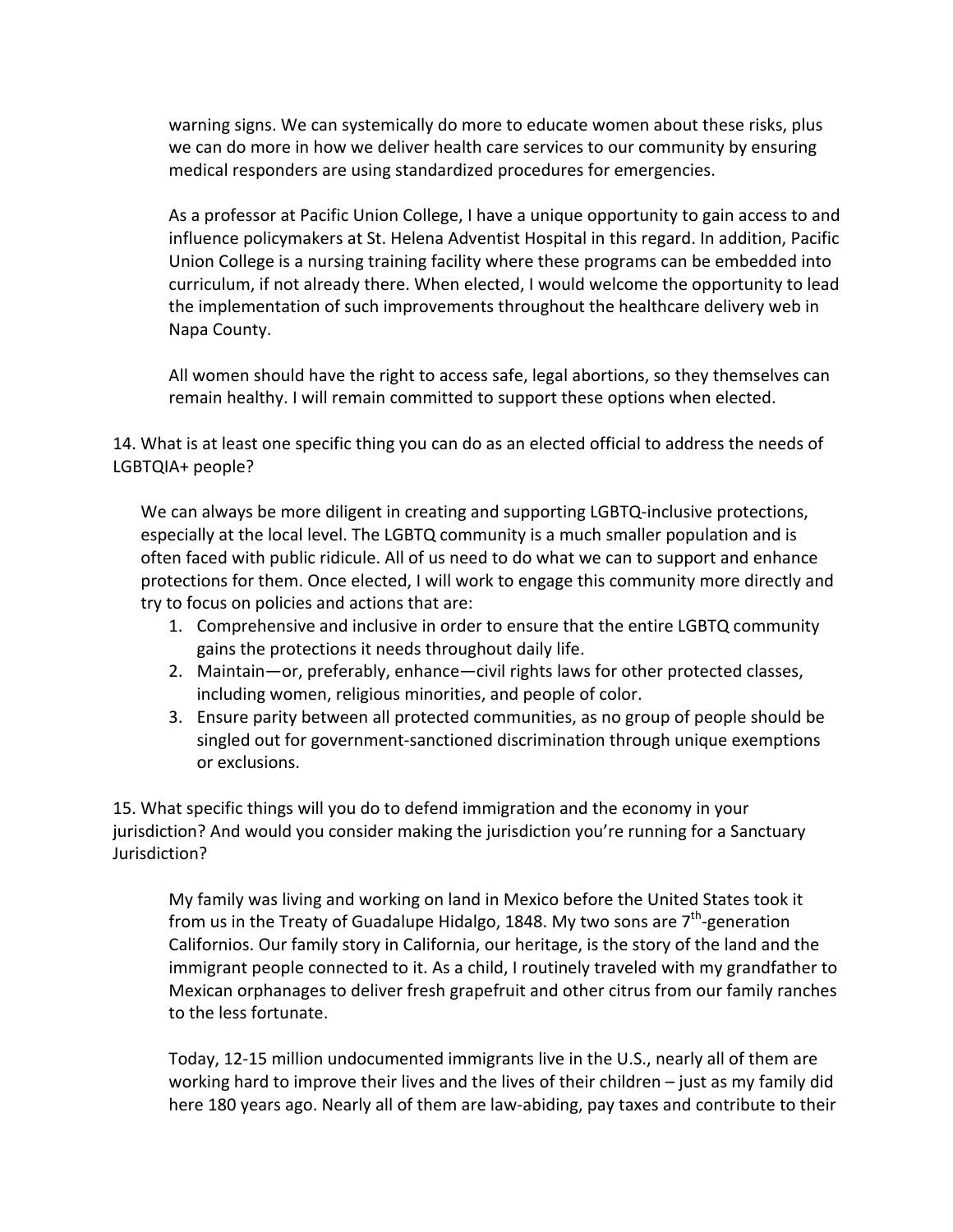warning signs. We can systemically do more to educate women about these risks, plus we can do more in how we deliver health care services to our community by ensuring medical responders are using standardized procedures for emergencies.

As a professor at Pacific Union College, I have a unique opportunity to gain access to and influence policymakers at St. Helena Adventist Hospital in this regard. In addition, Pacific Union College is a nursing training facility where these programs can be embedded into curriculum, if not already there. When elected, I would welcome the opportunity to lead the implementation of such improvements throughout the healthcare delivery web in Napa County.

All women should have the right to access safe, legal abortions, so they themselves can remain healthy. I will remain committed to support these options when elected.

14. What is at least one specific thing you can do as an elected official to address the needs of LGBTQIA+ people? 

We can always be more diligent in creating and supporting LGBTQ-inclusive protections, especially at the local level. The LGBTQ community is a much smaller population and is often faced with public ridicule. All of us need to do what we can to support and enhance protections for them. Once elected, I will work to engage this community more directly and try to focus on policies and actions that are:

- 1. Comprehensive and inclusive in order to ensure that the entire LGBTQ community gains the protections it needs throughout daily life.
- 2. Maintain—or, preferably, enhance—civil rights laws for other protected classes, including women, religious minorities, and people of color.
- 3. Ensure parity between all protected communities, as no group of people should be singled out for government-sanctioned discrimination through unique exemptions or exclusions.

15. What specific things will you do to defend immigration and the economy in your jurisdiction? And would you consider making the jurisdiction you're running for a Sanctuary Jurisdiction?

My family was living and working on land in Mexico before the United States took it from us in the Treaty of Guadalupe Hidalgo, 1848. My two sons are  $7<sup>th</sup>$ -generation Californios. Our family story in California, our heritage, is the story of the land and the immigrant people connected to it. As a child, I routinely traveled with my grandfather to Mexican orphanages to deliver fresh grapefruit and other citrus from our family ranches to the less fortunate.

Today, 12-15 million undocumented immigrants live in the U.S., nearly all of them are working hard to improve their lives and the lives of their children  $-$  just as my family did here 180 years ago. Nearly all of them are law-abiding, pay taxes and contribute to their